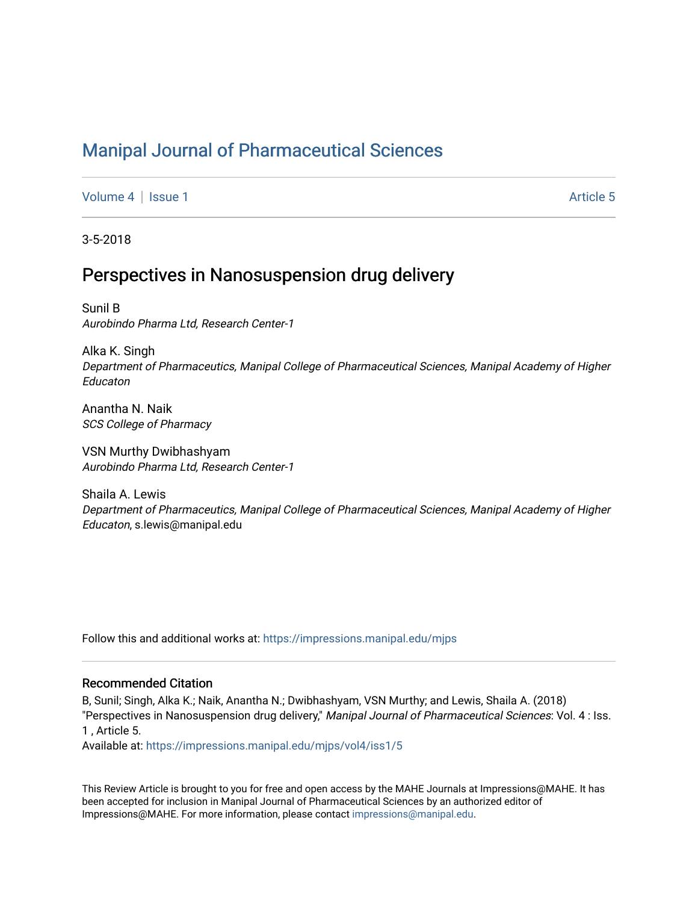# [Manipal Journal of Pharmaceutical Sciences](https://impressions.manipal.edu/mjps)

[Volume 4](https://impressions.manipal.edu/mjps/vol4) | [Issue 1](https://impressions.manipal.edu/mjps/vol4/iss1) Article 5

3-5-2018

## Perspectives in Nanosuspension drug delivery

Sunil B Aurobindo Pharma Ltd, Research Center-1

Alka K. Singh Department of Pharmaceutics, Manipal College of Pharmaceutical Sciences, Manipal Academy of Higher Educaton

Anantha N. Naik SCS College of Pharmacy

VSN Murthy Dwibhashyam Aurobindo Pharma Ltd, Research Center-1

Shaila A. Lewis Department of Pharmaceutics, Manipal College of Pharmaceutical Sciences, Manipal Academy of Higher Educaton, s.lewis@manipal.edu

Follow this and additional works at: [https://impressions.manipal.edu/mjps](https://impressions.manipal.edu/mjps?utm_source=impressions.manipal.edu%2Fmjps%2Fvol4%2Fiss1%2F5&utm_medium=PDF&utm_campaign=PDFCoverPages)

### Recommended Citation

B, Sunil; Singh, Alka K.; Naik, Anantha N.; Dwibhashyam, VSN Murthy; and Lewis, Shaila A. (2018) "Perspectives in Nanosuspension drug delivery," Manipal Journal of Pharmaceutical Sciences: Vol. 4 : Iss. 1 , Article 5.

Available at: [https://impressions.manipal.edu/mjps/vol4/iss1/5](https://impressions.manipal.edu/mjps/vol4/iss1/5?utm_source=impressions.manipal.edu%2Fmjps%2Fvol4%2Fiss1%2F5&utm_medium=PDF&utm_campaign=PDFCoverPages)

This Review Article is brought to you for free and open access by the MAHE Journals at Impressions@MAHE. It has been accepted for inclusion in Manipal Journal of Pharmaceutical Sciences by an authorized editor of Impressions@MAHE. For more information, please contact [impressions@manipal.edu](mailto:impressions@manipal.edu).